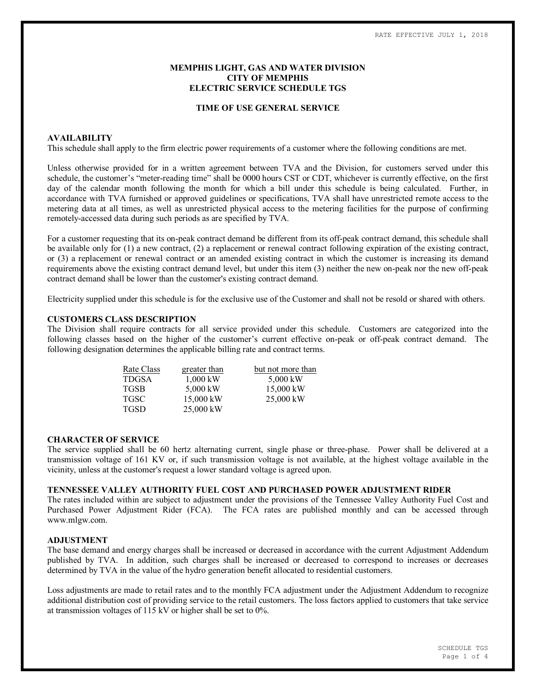## **MEMPHIS LIGHT, GAS AND WATER DIVISION CITY OF MEMPHIS ELECTRIC SERVICE SCHEDULE TGS**

### **TIME OF USE GENERAL SERVICE**

### **AVAILABILITY**

This schedule shall apply to the firm electric power requirements of a customer where the following conditions are met.

Unless otherwise provided for in a written agreement between TVA and the Division, for customers served under this schedule, the customer's "meter-reading time" shall be 0000 hours CST or CDT, whichever is currently effective, on the first day of the calendar month following the month for which a bill under this schedule is being calculated. Further, in accordance with TVA furnished or approved guidelines or specifications, TVA shall have unrestricted remote access to the metering data at all times, as well as unrestricted physical access to the metering facilities for the purpose of confirming remotely-accessed data during such periods as are specified by TVA.

For a customer requesting that its on-peak contract demand be different from its off-peak contract demand, this schedule shall be available only for (1) a new contract, (2) a replacement or renewal contract following expiration of the existing contract, or (3) a replacement or renewal contract or an amended existing contract in which the customer is increasing its demand requirements above the existing contract demand level, but under this item (3) neither the new on-peak nor the new off-peak contract demand shall be lower than the customer's existing contract demand.

Electricity supplied under this schedule is for the exclusive use of the Customer and shall not be resold or shared with others.

## **CUSTOMERS CLASS DESCRIPTION**

The Division shall require contracts for all service provided under this schedule. Customers are categorized into the following classes based on the higher of the customer's current effective on-peak or off-peak contract demand. The following designation determines the applicable billing rate and contract terms.

| Rate Class   | greater than | but not more than |  |  |  |
|--------------|--------------|-------------------|--|--|--|
| <b>TDGSA</b> | $1,000$ kW   | 5,000 kW          |  |  |  |
| <b>TGSB</b>  | 5,000 kW     | 15,000 kW         |  |  |  |
| <b>TGSC</b>  | 15,000 kW    | $25,000$ kW       |  |  |  |
| <b>TGSD</b>  | 25,000 kW    |                   |  |  |  |

#### **CHARACTER OF SERVICE**

The service supplied shall be 60 hertz alternating current, single phase or three-phase. Power shall be delivered at a transmission voltage of 161 KV or, if such transmission voltage is not available, at the highest voltage available in the vicinity, unless at the customer's request a lower standard voltage is agreed upon.

## **TENNESSEE VALLEY AUTHORITY FUEL COST AND PURCHASED POWER ADJUSTMENT RIDER**

The rates included within are subject to adjustment under the provisions of the Tennessee Valley Authority Fuel Cost and Purchased Power Adjustment Rider (FCA). The FCA rates are published monthly and can be accessed through www.mlgw.com.

## **ADJUSTMENT**

The base demand and energy charges shall be increased or decreased in accordance with the current Adjustment Addendum published by TVA. In addition, such charges shall be increased or decreased to correspond to increases or decreases determined by TVA in the value of the hydro generation benefit allocated to residential customers.

Loss adjustments are made to retail rates and to the monthly FCA adjustment under the Adjustment Addendum to recognize additional distribution cost of providing service to the retail customers. The loss factors applied to customers that take service at transmission voltages of 115 kV or higher shall be set to 0%.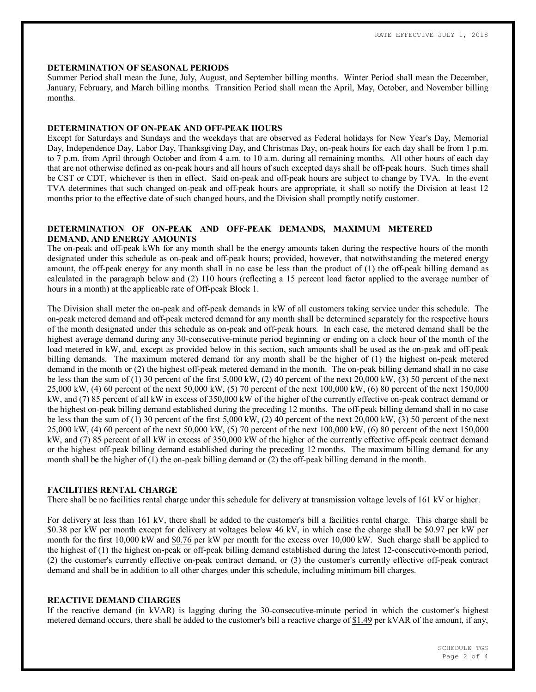#### **DETERMINATION OF SEASONAL PERIODS**

Summer Period shall mean the June, July, August, and September billing months. Winter Period shall mean the December, January, February, and March billing months. Transition Period shall mean the April, May, October, and November billing months.

### **DETERMINATION OF ON-PEAK AND OFF-PEAK HOURS**

Except for Saturdays and Sundays and the weekdays that are observed as Federal holidays for New Year's Day, Memorial Day, Independence Day, Labor Day, Thanksgiving Day, and Christmas Day, on-peak hours for each day shall be from 1 p.m. to 7 p.m. from April through October and from 4 a.m. to 10 a.m. during all remaining months. All other hours of each day that are not otherwise defined as on-peak hours and all hours of such excepted days shall be off-peak hours. Such times shall be CST or CDT, whichever is then in effect. Said on-peak and off-peak hours are subject to change by TVA. In the event TVA determines that such changed on-peak and off-peak hours are appropriate, it shall so notify the Division at least 12 months prior to the effective date of such changed hours, and the Division shall promptly notify customer.

## **DETERMINATION OF ON-PEAK AND OFF-PEAK DEMANDS, MAXIMUM METERED DEMAND, AND ENERGY AMOUNTS**

The on-peak and off-peak kWh for any month shall be the energy amounts taken during the respective hours of the month designated under this schedule as on-peak and off-peak hours; provided, however, that notwithstanding the metered energy amount, the off-peak energy for any month shall in no case be less than the product of (1) the off-peak billing demand as calculated in the paragraph below and (2) 110 hours (reflecting a 15 percent load factor applied to the average number of hours in a month) at the applicable rate of Off-peak Block 1.

The Division shall meter the on-peak and off-peak demands in kW of all customers taking service under this schedule. The on-peak metered demand and off-peak metered demand for any month shall be determined separately for the respective hours of the month designated under this schedule as on-peak and off-peak hours. In each case, the metered demand shall be the highest average demand during any 30-consecutive-minute period beginning or ending on a clock hour of the month of the load metered in kW, and, except as provided below in this section, such amounts shall be used as the on-peak and off-peak billing demands. The maximum metered demand for any month shall be the higher of (1) the highest on-peak metered demand in the month or (2) the highest off-peak metered demand in the month. The on-peak billing demand shall in no case be less than the sum of (1) 30 percent of the first 5,000 kW, (2) 40 percent of the next 20,000 kW, (3) 50 percent of the next 25,000 kW, (4) 60 percent of the next 50,000 kW, (5) 70 percent of the next 100,000 kW, (6) 80 percent of the next 150,000 kW, and (7) 85 percent of all kW in excess of 350,000 kW of the higher of the currently effective on-peak contract demand or the highest on-peak billing demand established during the preceding 12 months. The off-peak billing demand shall in no case be less than the sum of (1) 30 percent of the first 5,000 kW, (2) 40 percent of the next 20,000 kW, (3) 50 percent of the next 25,000 kW, (4) 60 percent of the next 50,000 kW, (5) 70 percent of the next 100,000 kW, (6) 80 percent of the next 150,000 kW, and (7) 85 percent of all kW in excess of 350,000 kW of the higher of the currently effective off-peak contract demand or the highest off-peak billing demand established during the preceding 12 months. The maximum billing demand for any month shall be the higher of (1) the on-peak billing demand or (2) the off-peak billing demand in the month.

## **FACILITIES RENTAL CHARGE**

There shall be no facilities rental charge under this schedule for delivery at transmission voltage levels of 161 kV or higher.

For delivery at less than 161 kV, there shall be added to the customer's bill a facilities rental charge. This charge shall be \$0.38 per kW per month except for delivery at voltages below 46 kV, in which case the charge shall be \$0.97 per kW per month for the first 10,000 kW and \$0.76 per kW per month for the excess over 10,000 kW. Such charge shall be applied to the highest of (1) the highest on-peak or off-peak billing demand established during the latest 12-consecutive-month period, (2) the customer's currently effective on-peak contract demand, or (3) the customer's currently effective off-peak contract demand and shall be in addition to all other charges under this schedule, including minimum bill charges.

## **REACTIVE DEMAND CHARGES**

If the reactive demand (in kVAR) is lagging during the 30-consecutive-minute period in which the customer's highest metered demand occurs, there shall be added to the customer's bill a reactive charge of \$1.49 per kVAR of the amount, if any,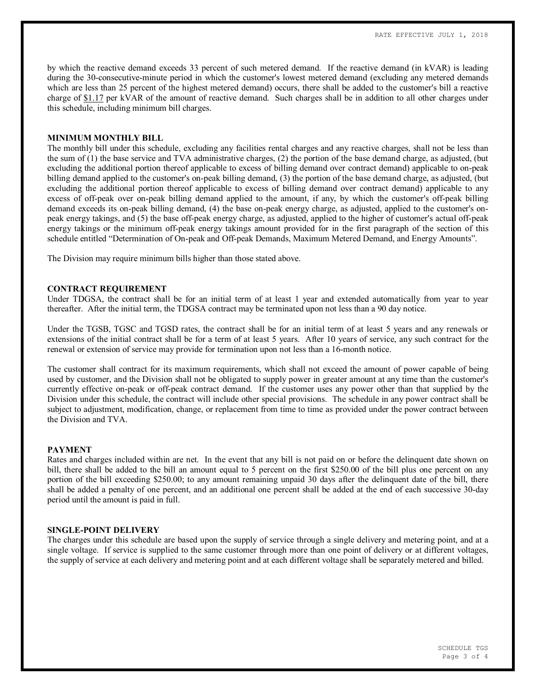by which the reactive demand exceeds 33 percent of such metered demand. If the reactive demand (in kVAR) is leading during the 30-consecutive-minute period in which the customer's lowest metered demand (excluding any metered demands which are less than 25 percent of the highest metered demand) occurs, there shall be added to the customer's bill a reactive charge of \$1.17 per kVAR of the amount of reactive demand. Such charges shall be in addition to all other charges under this schedule, including minimum bill charges.

#### **MINIMUM MONTHLY BILL**

The monthly bill under this schedule, excluding any facilities rental charges and any reactive charges, shall not be less than the sum of (1) the base service and TVA administrative charges, (2) the portion of the base demand charge, as adjusted, (but excluding the additional portion thereof applicable to excess of billing demand over contract demand) applicable to on-peak billing demand applied to the customer's on-peak billing demand, (3) the portion of the base demand charge, as adjusted, (but excluding the additional portion thereof applicable to excess of billing demand over contract demand) applicable to any excess of off-peak over on-peak billing demand applied to the amount, if any, by which the customer's off-peak billing demand exceeds its on-peak billing demand, (4) the base on-peak energy charge, as adjusted, applied to the customer's onpeak energy takings, and (5) the base off-peak energy charge, as adjusted, applied to the higher of customer's actual off-peak energy takings or the minimum off-peak energy takings amount provided for in the first paragraph of the section of this schedule entitled "Determination of On-peak and Off-peak Demands, Maximum Metered Demand, and Energy Amounts".

The Division may require minimum bills higher than those stated above.

## **CONTRACT REQUIREMENT**

Under TDGSA, the contract shall be for an initial term of at least 1 year and extended automatically from year to year thereafter. After the initial term, the TDGSA contract may be terminated upon not less than a 90 day notice.

Under the TGSB, TGSC and TGSD rates, the contract shall be for an initial term of at least 5 years and any renewals or extensions of the initial contract shall be for a term of at least 5 years. After 10 years of service, any such contract for the renewal or extension of service may provide for termination upon not less than a 16-month notice.

The customer shall contract for its maximum requirements, which shall not exceed the amount of power capable of being used by customer, and the Division shall not be obligated to supply power in greater amount at any time than the customer's currently effective on-peak or off-peak contract demand. If the customer uses any power other than that supplied by the Division under this schedule, the contract will include other special provisions. The schedule in any power contract shall be subject to adjustment, modification, change, or replacement from time to time as provided under the power contract between the Division and TVA.

#### **PAYMENT**

Rates and charges included within are net. In the event that any bill is not paid on or before the delinquent date shown on bill, there shall be added to the bill an amount equal to 5 percent on the first \$250.00 of the bill plus one percent on any portion of the bill exceeding \$250.00; to any amount remaining unpaid 30 days after the delinquent date of the bill, there shall be added a penalty of one percent, and an additional one percent shall be added at the end of each successive 30-day period until the amount is paid in full.

### **SINGLE-POINT DELIVERY**

The charges under this schedule are based upon the supply of service through a single delivery and metering point, and at a single voltage. If service is supplied to the same customer through more than one point of delivery or at different voltages, the supply of service at each delivery and metering point and at each different voltage shall be separately metered and billed.